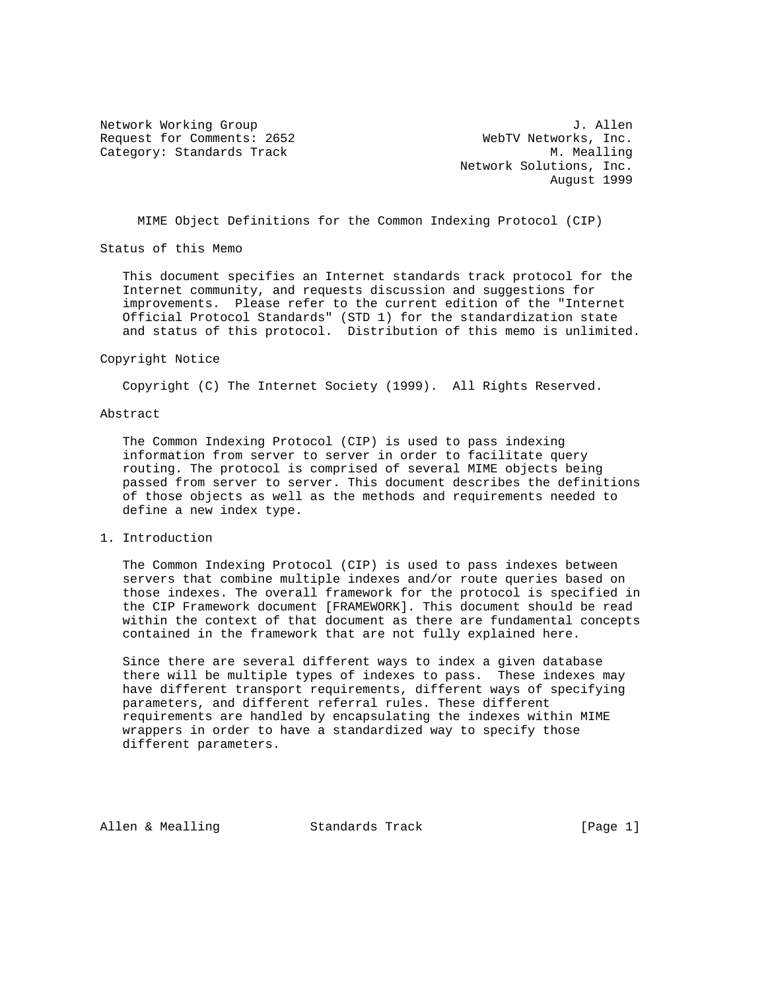Request for Comments: 2652 WebTV Networks, Inc. Category: Standards Track M. Mealling

Network Working Group 3. Allen Network Solutions, Inc. August 1999

MIME Object Definitions for the Common Indexing Protocol (CIP)

Status of this Memo

 This document specifies an Internet standards track protocol for the Internet community, and requests discussion and suggestions for improvements. Please refer to the current edition of the "Internet Official Protocol Standards" (STD 1) for the standardization state and status of this protocol. Distribution of this memo is unlimited.

#### Copyright Notice

Copyright (C) The Internet Society (1999). All Rights Reserved.

#### Abstract

 The Common Indexing Protocol (CIP) is used to pass indexing information from server to server in order to facilitate query routing. The protocol is comprised of several MIME objects being passed from server to server. This document describes the definitions of those objects as well as the methods and requirements needed to define a new index type.

# 1. Introduction

 The Common Indexing Protocol (CIP) is used to pass indexes between servers that combine multiple indexes and/or route queries based on those indexes. The overall framework for the protocol is specified in the CIP Framework document [FRAMEWORK]. This document should be read within the context of that document as there are fundamental concepts contained in the framework that are not fully explained here.

 Since there are several different ways to index a given database there will be multiple types of indexes to pass. These indexes may have different transport requirements, different ways of specifying parameters, and different referral rules. These different requirements are handled by encapsulating the indexes within MIME wrappers in order to have a standardized way to specify those different parameters.

Allen & Mealling Standards Track (Page 1)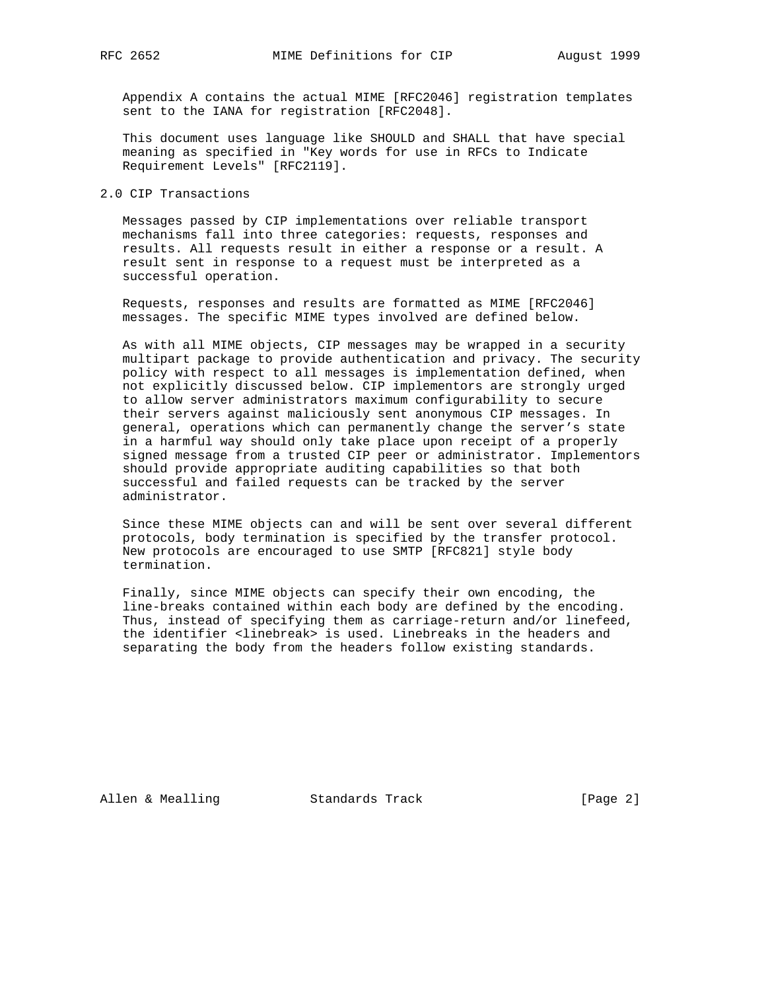Appendix A contains the actual MIME [RFC2046] registration templates sent to the IANA for registration [RFC2048].

 This document uses language like SHOULD and SHALL that have special meaning as specified in "Key words for use in RFCs to Indicate Requirement Levels" [RFC2119].

2.0 CIP Transactions

 Messages passed by CIP implementations over reliable transport mechanisms fall into three categories: requests, responses and results. All requests result in either a response or a result. A result sent in response to a request must be interpreted as a successful operation.

 Requests, responses and results are formatted as MIME [RFC2046] messages. The specific MIME types involved are defined below.

 As with all MIME objects, CIP messages may be wrapped in a security multipart package to provide authentication and privacy. The security policy with respect to all messages is implementation defined, when not explicitly discussed below. CIP implementors are strongly urged to allow server administrators maximum configurability to secure their servers against maliciously sent anonymous CIP messages. In general, operations which can permanently change the server's state in a harmful way should only take place upon receipt of a properly signed message from a trusted CIP peer or administrator. Implementors should provide appropriate auditing capabilities so that both successful and failed requests can be tracked by the server administrator.

 Since these MIME objects can and will be sent over several different protocols, body termination is specified by the transfer protocol. New protocols are encouraged to use SMTP [RFC821] style body termination.

 Finally, since MIME objects can specify their own encoding, the line-breaks contained within each body are defined by the encoding. Thus, instead of specifying them as carriage-return and/or linefeed, the identifier <linebreak> is used. Linebreaks in the headers and separating the body from the headers follow existing standards.

Allen & Mealling Standards Track [Page 2]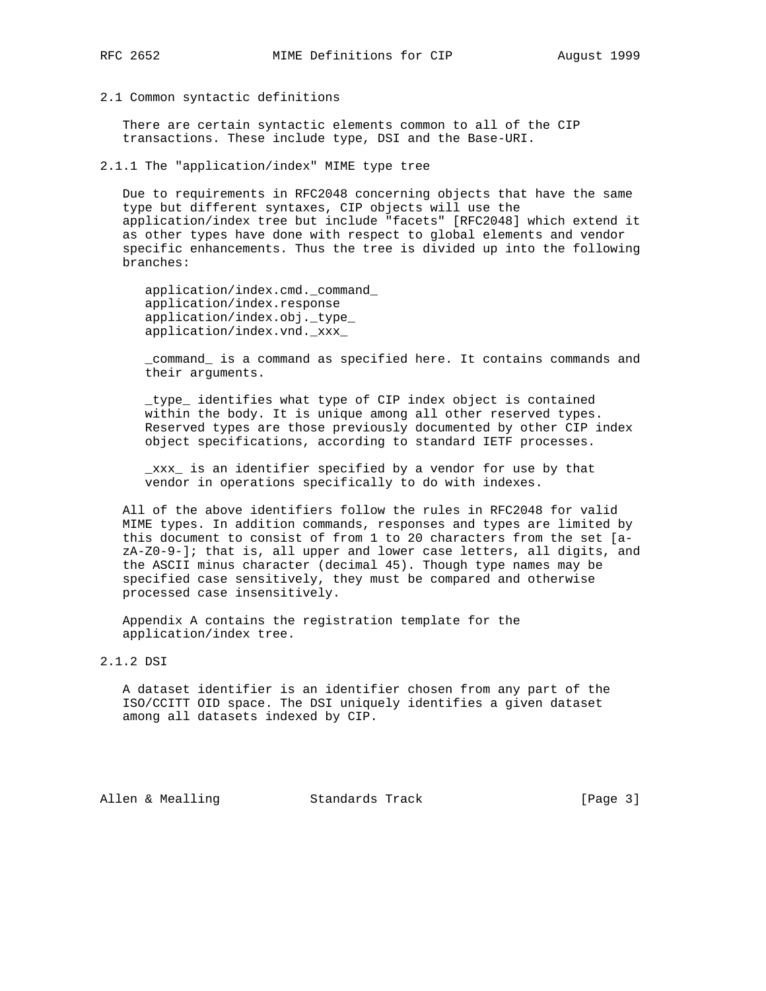# 2.1 Common syntactic definitions

 There are certain syntactic elements common to all of the CIP transactions. These include type, DSI and the Base-URI.

2.1.1 The "application/index" MIME type tree

 Due to requirements in RFC2048 concerning objects that have the same type but different syntaxes, CIP objects will use the application/index tree but include "facets" [RFC2048] which extend it as other types have done with respect to global elements and vendor specific enhancements. Thus the tree is divided up into the following branches:

 application/index.cmd.\_command\_ application/index.response application/index.obj.\_type\_ application/index.vnd.\_xxx\_

 \_command\_ is a command as specified here. It contains commands and their arguments.

 \_type\_ identifies what type of CIP index object is contained within the body. It is unique among all other reserved types. Reserved types are those previously documented by other CIP index object specifications, according to standard IETF processes.

 \_xxx\_ is an identifier specified by a vendor for use by that vendor in operations specifically to do with indexes.

 All of the above identifiers follow the rules in RFC2048 for valid MIME types. In addition commands, responses and types are limited by this document to consist of from 1 to 20 characters from the set [a  $zA-Z0-9-$ ; that is, all upper and lower case letters, all digits, and the ASCII minus character (decimal 45). Though type names may be specified case sensitively, they must be compared and otherwise processed case insensitively.

 Appendix A contains the registration template for the application/index tree.

2.1.2 DSI

 A dataset identifier is an identifier chosen from any part of the ISO/CCITT OID space. The DSI uniquely identifies a given dataset among all datasets indexed by CIP.

Allen & Mealling Standards Track [Page 3]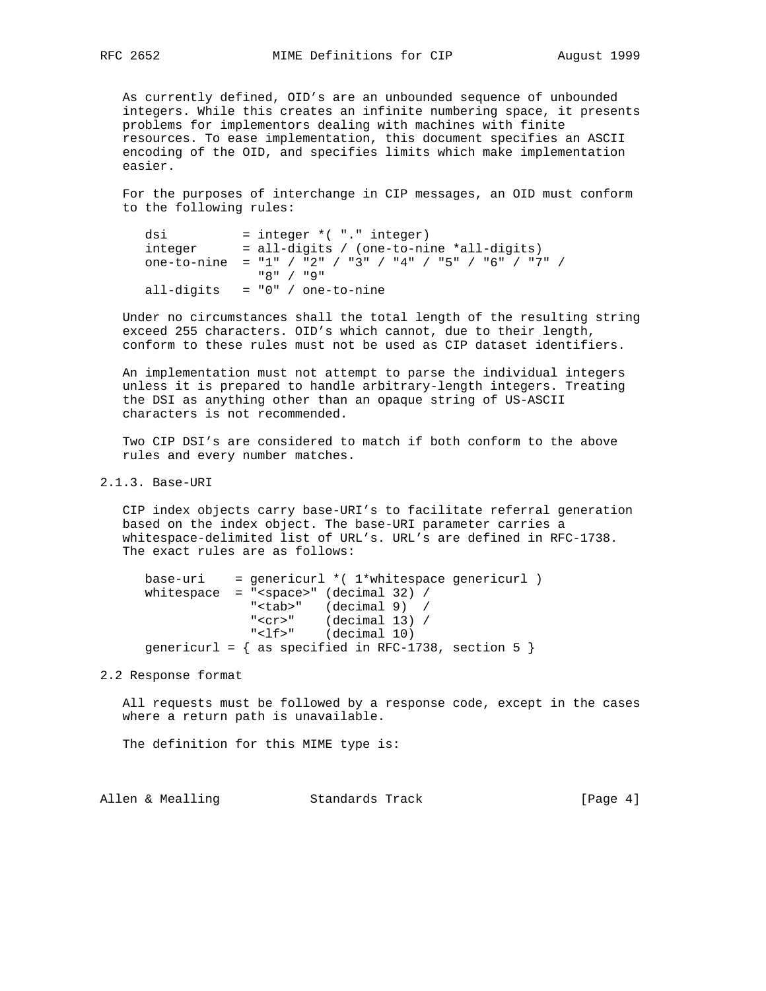As currently defined, OID's are an unbounded sequence of unbounded integers. While this creates an infinite numbering space, it presents problems for implementors dealing with machines with finite resources. To ease implementation, this document specifies an ASCII encoding of the OID, and specifies limits which make implementation easier.

 For the purposes of interchange in CIP messages, an OID must conform to the following rules:

```
dsi = integer * ( "." integer)integer = all-digits / (one-to-nine *all-digits)
 one-to-nine = "1" / "2" / "3" / "4" / "5" / "6" / "7" /
             "8" / "9"
all-digits = "0" / one-to-nine
```
 Under no circumstances shall the total length of the resulting string exceed 255 characters. OID's which cannot, due to their length, conform to these rules must not be used as CIP dataset identifiers.

 An implementation must not attempt to parse the individual integers unless it is prepared to handle arbitrary-length integers. Treating the DSI as anything other than an opaque string of US-ASCII characters is not recommended.

 Two CIP DSI's are considered to match if both conform to the above rules and every number matches.

2.1.3. Base-URI

 CIP index objects carry base-URI's to facilitate referral generation based on the index object. The base-URI parameter carries a whitespace-delimited list of URL's. URL's are defined in RFC-1738. The exact rules are as follows:

```
base-uri = genericurl *(1*whitespace genericurl )
whitespace = "<space>" (decimal 32) /
 "<tab>" (decimal 9) /
 "<cr>" (decimal 13) /
 "<lf>" (decimal 10)
    genericurl = \{ as specified in RFC-1738, section 5 \}
```
2.2 Response format

 All requests must be followed by a response code, except in the cases where a return path is unavailable.

The definition for this MIME type is:

Allen & Mealling Standards Track (Page 4)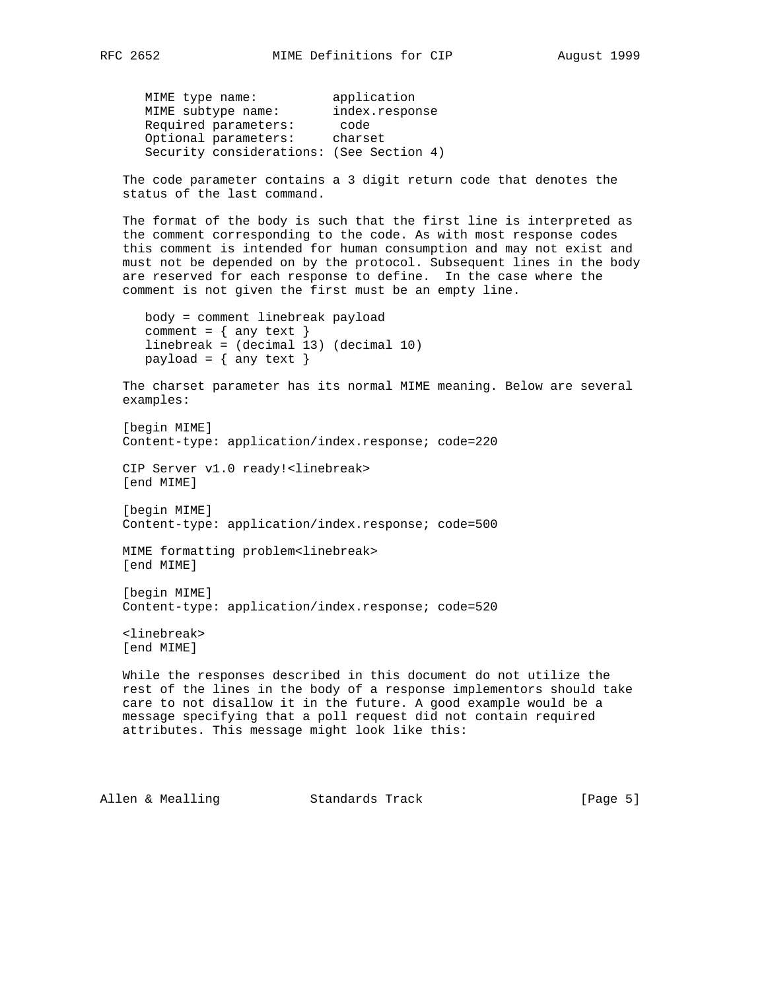MIME type name: application MIME subtype name: index.response Required parameters: code Optional parameters: charset Security considerations: (See Section 4)

 The code parameter contains a 3 digit return code that denotes the status of the last command.

 The format of the body is such that the first line is interpreted as the comment corresponding to the code. As with most response codes this comment is intended for human consumption and may not exist and must not be depended on by the protocol. Subsequent lines in the body are reserved for each response to define. In the case where the comment is not given the first must be an empty line.

```
 body = comment linebreak payload
comment = \{ any text \} linebreak = (decimal 13) (decimal 10)
payload = \{ any text \}
```
 The charset parameter has its normal MIME meaning. Below are several examples:

```
 [begin MIME]
 Content-type: application/index.response; code=220
```
 CIP Server v1.0 ready!<linebreak> [end MIME]

 [begin MIME] Content-type: application/index.response; code=500

 MIME formatting problem<linebreak> [end MIME]

```
 [begin MIME]
 Content-type: application/index.response; code=520
```
 <linebreak> [end MIME]

 While the responses described in this document do not utilize the rest of the lines in the body of a response implementors should take care to not disallow it in the future. A good example would be a message specifying that a poll request did not contain required attributes. This message might look like this:

Allen & Mealling Standards Track (Page 5)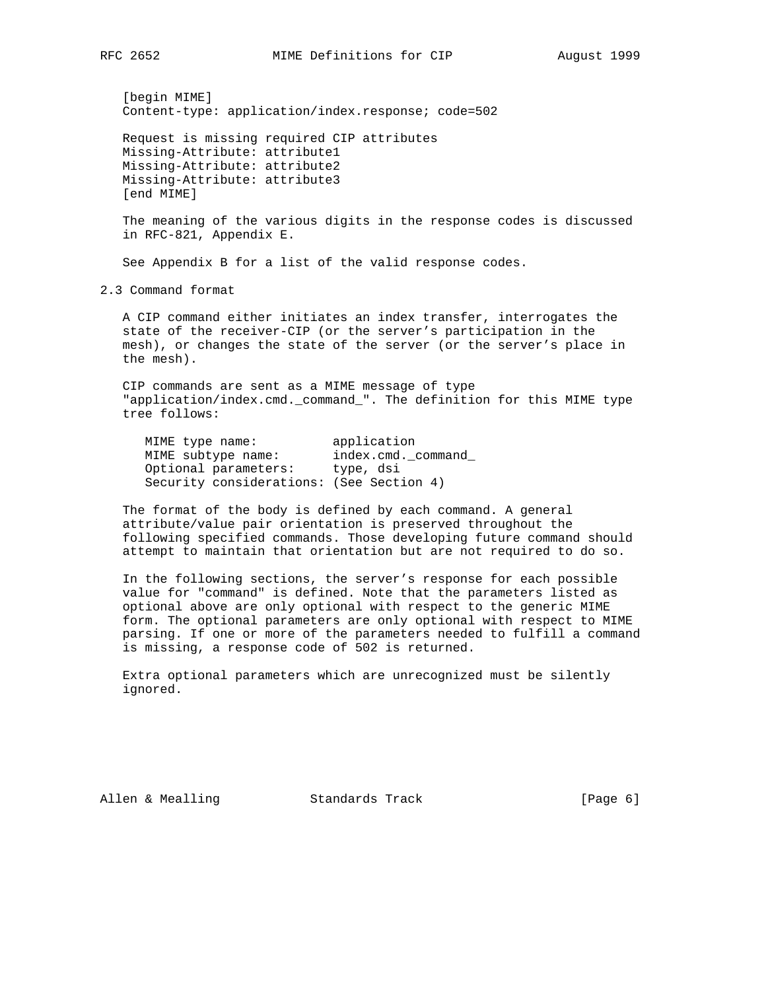[begin MIME] Content-type: application/index.response; code=502

 Request is missing required CIP attributes Missing-Attribute: attribute1 Missing-Attribute: attribute2 Missing-Attribute: attribute3 [end MIME]

 The meaning of the various digits in the response codes is discussed in RFC-821, Appendix E.

See Appendix B for a list of the valid response codes.

2.3 Command format

 A CIP command either initiates an index transfer, interrogates the state of the receiver-CIP (or the server's participation in the mesh), or changes the state of the server (or the server's place in the mesh).

 CIP commands are sent as a MIME message of type "application/index.cmd.\_command\_". The definition for this MIME type tree follows:

MIME type name: application<br>MIME subtype name: index.cmd.org MIME subtype name: index.cmd.\_command\_ Optional parameters: type, dsi Security considerations: (See Section 4)

 The format of the body is defined by each command. A general attribute/value pair orientation is preserved throughout the following specified commands. Those developing future command should attempt to maintain that orientation but are not required to do so.

 In the following sections, the server's response for each possible value for "command" is defined. Note that the parameters listed as optional above are only optional with respect to the generic MIME form. The optional parameters are only optional with respect to MIME parsing. If one or more of the parameters needed to fulfill a command is missing, a response code of 502 is returned.

 Extra optional parameters which are unrecognized must be silently ignored.

Allen & Mealling Standards Track (Page 6)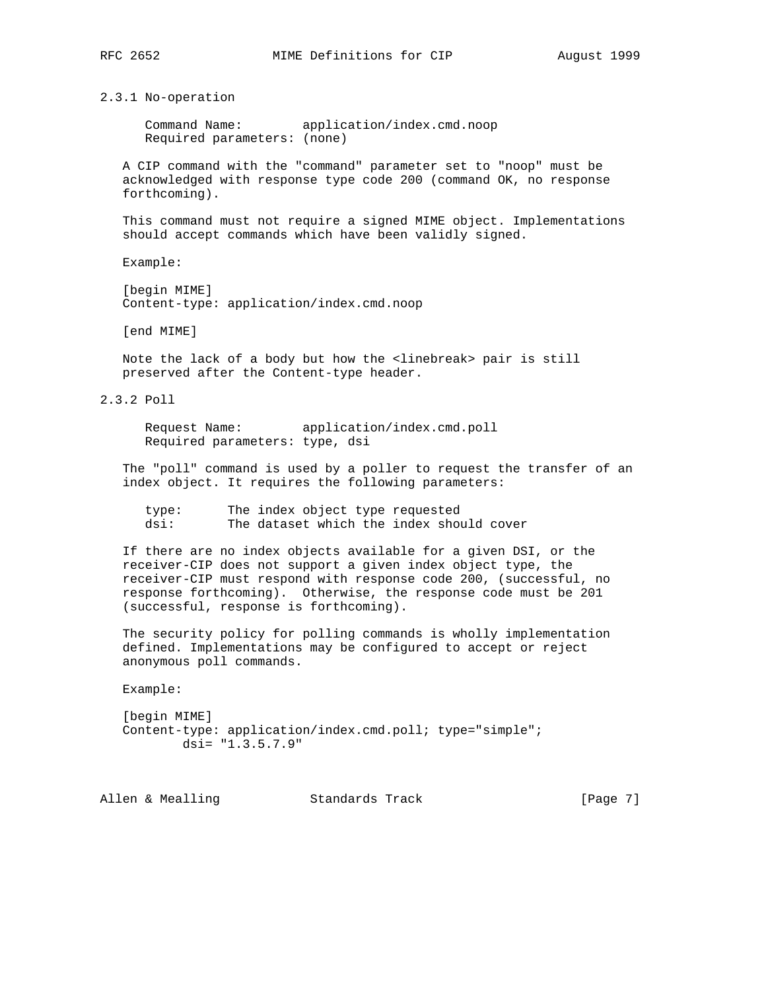2.3.1 No-operation

 Command Name: application/index.cmd.noop Required parameters: (none)

 A CIP command with the "command" parameter set to "noop" must be acknowledged with response type code 200 (command OK, no response forthcoming).

 This command must not require a signed MIME object. Implementations should accept commands which have been validly signed.

Example:

 [begin MIME] Content-type: application/index.cmd.noop

[end MIME]

 Note the lack of a body but how the <linebreak> pair is still preserved after the Content-type header.

2.3.2 Poll

 Request Name: application/index.cmd.poll Required parameters: type, dsi

 The "poll" command is used by a poller to request the transfer of an index object. It requires the following parameters:

| type: | The index object type requested          |  |  |  |
|-------|------------------------------------------|--|--|--|
| dsi:  | The dataset which the index should cover |  |  |  |

 If there are no index objects available for a given DSI, or the receiver-CIP does not support a given index object type, the receiver-CIP must respond with response code 200, (successful, no response forthcoming). Otherwise, the response code must be 201 (successful, response is forthcoming).

 The security policy for polling commands is wholly implementation defined. Implementations may be configured to accept or reject anonymous poll commands.

Example:

 [begin MIME] Content-type: application/index.cmd.poll; type="simple"; dsi= "1.3.5.7.9"

Allen & Mealling Standards Track (Page 7)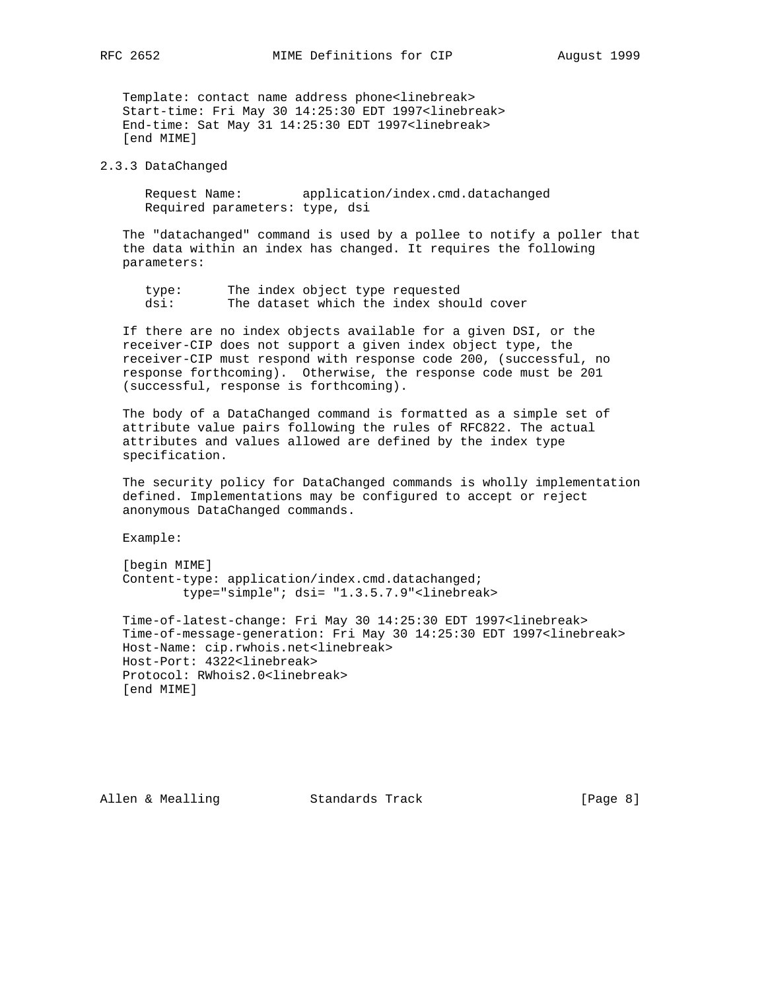Template: contact name address phone<linebreak> Start-time: Fri May 30 14:25:30 EDT 1997<linebreak> End-time: Sat May 31 14:25:30 EDT 1997<linebreak> [end MIME]

#### 2.3.3 DataChanged

 Request Name: application/index.cmd.datachanged Required parameters: type, dsi

 The "datachanged" command is used by a pollee to notify a poller that the data within an index has changed. It requires the following parameters:

 type: The index object type requested dsi: The dataset which the index should cover

 If there are no index objects available for a given DSI, or the receiver-CIP does not support a given index object type, the receiver-CIP must respond with response code 200, (successful, no response forthcoming). Otherwise, the response code must be 201 (successful, response is forthcoming).

 The body of a DataChanged command is formatted as a simple set of attribute value pairs following the rules of RFC822. The actual attributes and values allowed are defined by the index type specification.

 The security policy for DataChanged commands is wholly implementation defined. Implementations may be configured to accept or reject anonymous DataChanged commands.

Example:

 [begin MIME] Content-type: application/index.cmd.datachanged; type="simple"; dsi= "1.3.5.7.9"<linebreak>

 Time-of-latest-change: Fri May 30 14:25:30 EDT 1997<linebreak> Time-of-message-generation: Fri May 30 14:25:30 EDT 1997<linebreak> Host-Name: cip.rwhois.net<linebreak> Host-Port: 4322<linebreak> Protocol: RWhois2.0<linebreak> [end MIME]

Allen & Mealling Standards Track (Page 8)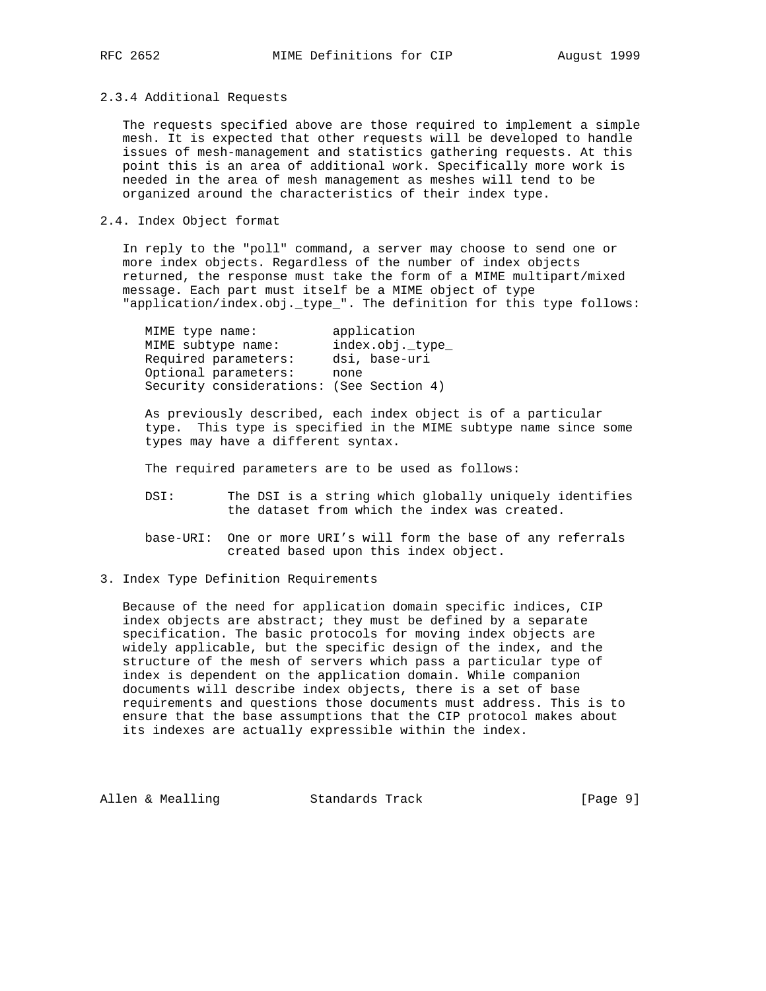#### 2.3.4 Additional Requests

 The requests specified above are those required to implement a simple mesh. It is expected that other requests will be developed to handle issues of mesh-management and statistics gathering requests. At this point this is an area of additional work. Specifically more work is needed in the area of mesh management as meshes will tend to be organized around the characteristics of their index type.

# 2.4. Index Object format

 In reply to the "poll" command, a server may choose to send one or more index objects. Regardless of the number of index objects returned, the response must take the form of a MIME multipart/mixed message. Each part must itself be a MIME object of type "application/index.obj.\_type\_". The definition for this type follows:

| MIME type name: |                                          |      | application      |
|-----------------|------------------------------------------|------|------------------|
|                 | MIME subtype name:                       |      | index.obj._type_ |
|                 | Required parameters:                     |      | dsi, base-uri    |
|                 | Optional parameters:                     | none |                  |
|                 | Security considerations: (See Section 4) |      |                  |

 As previously described, each index object is of a particular type. This type is specified in the MIME subtype name since some types may have a different syntax.

The required parameters are to be used as follows:

- DSI: The DSI is a string which globally uniquely identifies the dataset from which the index was created.
- base-URI: One or more URI's will form the base of any referrals created based upon this index object.
- 3. Index Type Definition Requirements

 Because of the need for application domain specific indices, CIP index objects are abstract; they must be defined by a separate specification. The basic protocols for moving index objects are widely applicable, but the specific design of the index, and the structure of the mesh of servers which pass a particular type of index is dependent on the application domain. While companion documents will describe index objects, there is a set of base requirements and questions those documents must address. This is to ensure that the base assumptions that the CIP protocol makes about its indexes are actually expressible within the index.

Allen & Mealling Standards Track (Page 9)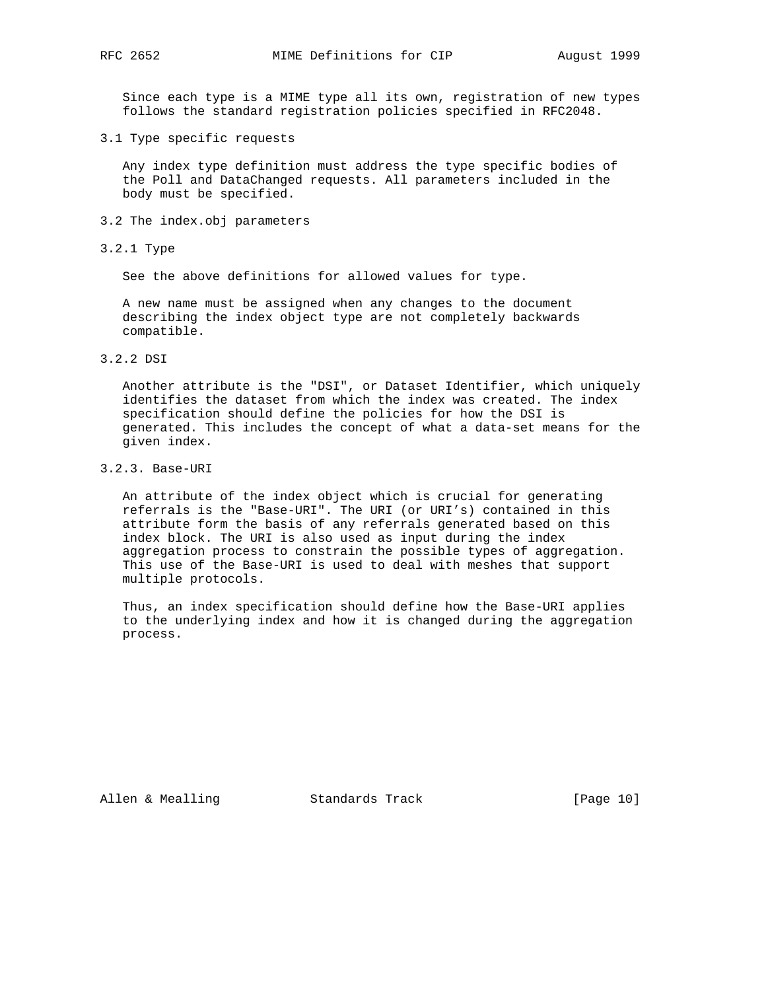Since each type is a MIME type all its own, registration of new types follows the standard registration policies specified in RFC2048.

3.1 Type specific requests

 Any index type definition must address the type specific bodies of the Poll and DataChanged requests. All parameters included in the body must be specified.

- 3.2 The index.obj parameters
- 3.2.1 Type

See the above definitions for allowed values for type.

 A new name must be assigned when any changes to the document describing the index object type are not completely backwards compatible.

# 3.2.2 DSI

 Another attribute is the "DSI", or Dataset Identifier, which uniquely identifies the dataset from which the index was created. The index specification should define the policies for how the DSI is generated. This includes the concept of what a data-set means for the given index.

# 3.2.3. Base-URI

 An attribute of the index object which is crucial for generating referrals is the "Base-URI". The URI (or URI's) contained in this attribute form the basis of any referrals generated based on this index block. The URI is also used as input during the index aggregation process to constrain the possible types of aggregation. This use of the Base-URI is used to deal with meshes that support multiple protocols.

 Thus, an index specification should define how the Base-URI applies to the underlying index and how it is changed during the aggregation process.

Allen & Mealling Standards Track [Page 10]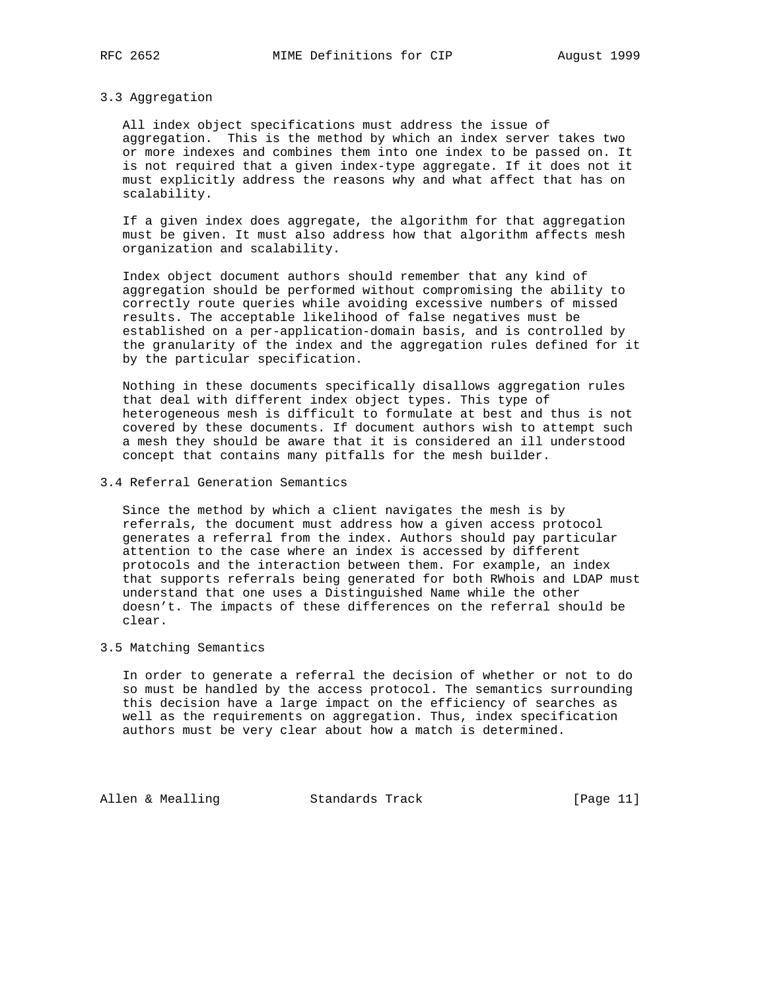#### 3.3 Aggregation

 All index object specifications must address the issue of aggregation. This is the method by which an index server takes two or more indexes and combines them into one index to be passed on. It is not required that a given index-type aggregate. If it does not it must explicitly address the reasons why and what affect that has on scalability.

 If a given index does aggregate, the algorithm for that aggregation must be given. It must also address how that algorithm affects mesh organization and scalability.

 Index object document authors should remember that any kind of aggregation should be performed without compromising the ability to correctly route queries while avoiding excessive numbers of missed results. The acceptable likelihood of false negatives must be established on a per-application-domain basis, and is controlled by the granularity of the index and the aggregation rules defined for it by the particular specification.

 Nothing in these documents specifically disallows aggregation rules that deal with different index object types. This type of heterogeneous mesh is difficult to formulate at best and thus is not covered by these documents. If document authors wish to attempt such a mesh they should be aware that it is considered an ill understood concept that contains many pitfalls for the mesh builder.

# 3.4 Referral Generation Semantics

 Since the method by which a client navigates the mesh is by referrals, the document must address how a given access protocol generates a referral from the index. Authors should pay particular attention to the case where an index is accessed by different protocols and the interaction between them. For example, an index that supports referrals being generated for both RWhois and LDAP must understand that one uses a Distinguished Name while the other doesn't. The impacts of these differences on the referral should be clear.

# 3.5 Matching Semantics

 In order to generate a referral the decision of whether or not to do so must be handled by the access protocol. The semantics surrounding this decision have a large impact on the efficiency of searches as well as the requirements on aggregation. Thus, index specification authors must be very clear about how a match is determined.

Allen & Mealling Standards Track [Page 11]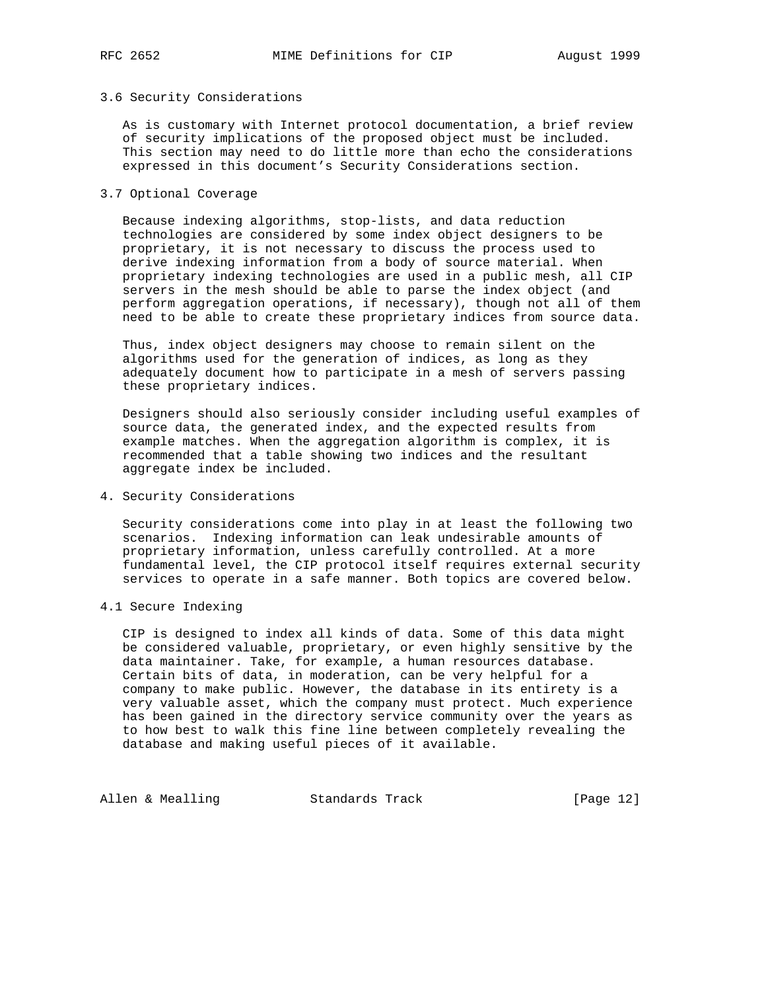#### 3.6 Security Considerations

 As is customary with Internet protocol documentation, a brief review of security implications of the proposed object must be included. This section may need to do little more than echo the considerations expressed in this document's Security Considerations section.

#### 3.7 Optional Coverage

 Because indexing algorithms, stop-lists, and data reduction technologies are considered by some index object designers to be proprietary, it is not necessary to discuss the process used to derive indexing information from a body of source material. When proprietary indexing technologies are used in a public mesh, all CIP servers in the mesh should be able to parse the index object (and perform aggregation operations, if necessary), though not all of them need to be able to create these proprietary indices from source data.

 Thus, index object designers may choose to remain silent on the algorithms used for the generation of indices, as long as they adequately document how to participate in a mesh of servers passing these proprietary indices.

 Designers should also seriously consider including useful examples of source data, the generated index, and the expected results from example matches. When the aggregation algorithm is complex, it is recommended that a table showing two indices and the resultant aggregate index be included.

#### 4. Security Considerations

 Security considerations come into play in at least the following two scenarios. Indexing information can leak undesirable amounts of proprietary information, unless carefully controlled. At a more fundamental level, the CIP protocol itself requires external security services to operate in a safe manner. Both topics are covered below.

#### 4.1 Secure Indexing

 CIP is designed to index all kinds of data. Some of this data might be considered valuable, proprietary, or even highly sensitive by the data maintainer. Take, for example, a human resources database. Certain bits of data, in moderation, can be very helpful for a company to make public. However, the database in its entirety is a very valuable asset, which the company must protect. Much experience has been gained in the directory service community over the years as to how best to walk this fine line between completely revealing the database and making useful pieces of it available.

Allen & Mealling Standards Track [Page 12]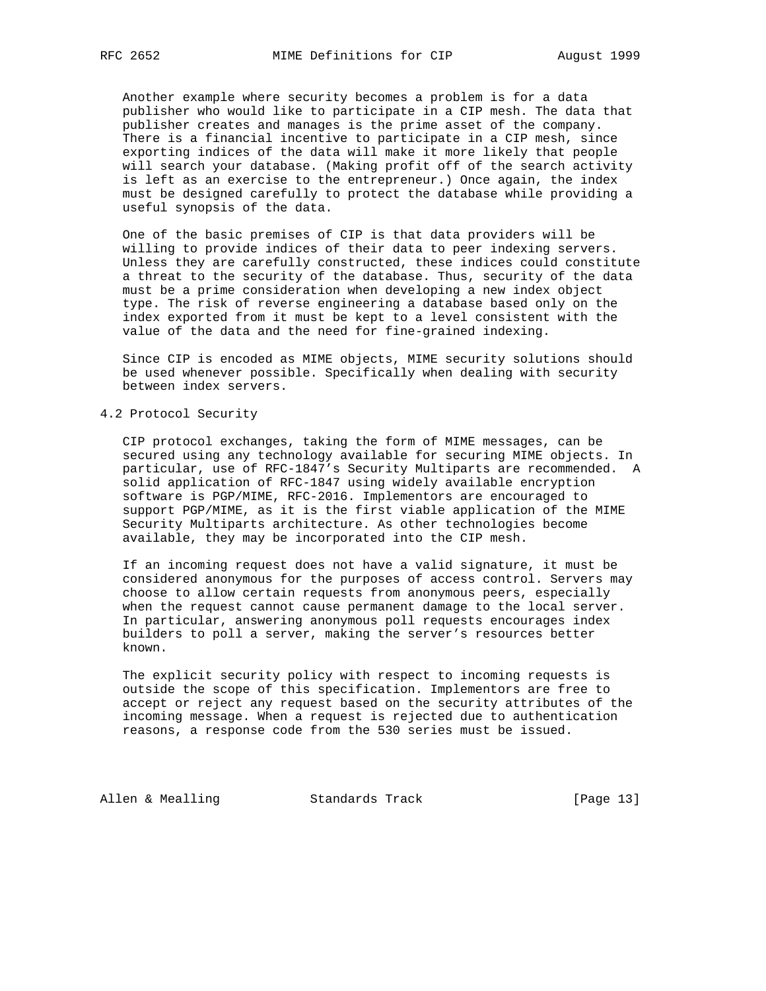Another example where security becomes a problem is for a data publisher who would like to participate in a CIP mesh. The data that publisher creates and manages is the prime asset of the company. There is a financial incentive to participate in a CIP mesh, since exporting indices of the data will make it more likely that people will search your database. (Making profit off of the search activity is left as an exercise to the entrepreneur.) Once again, the index must be designed carefully to protect the database while providing a useful synopsis of the data.

 One of the basic premises of CIP is that data providers will be willing to provide indices of their data to peer indexing servers. Unless they are carefully constructed, these indices could constitute a threat to the security of the database. Thus, security of the data must be a prime consideration when developing a new index object type. The risk of reverse engineering a database based only on the index exported from it must be kept to a level consistent with the value of the data and the need for fine-grained indexing.

 Since CIP is encoded as MIME objects, MIME security solutions should be used whenever possible. Specifically when dealing with security between index servers.

#### 4.2 Protocol Security

 CIP protocol exchanges, taking the form of MIME messages, can be secured using any technology available for securing MIME objects. In particular, use of RFC-1847's Security Multiparts are recommended. A solid application of RFC-1847 using widely available encryption software is PGP/MIME, RFC-2016. Implementors are encouraged to support PGP/MIME, as it is the first viable application of the MIME Security Multiparts architecture. As other technologies become available, they may be incorporated into the CIP mesh.

 If an incoming request does not have a valid signature, it must be considered anonymous for the purposes of access control. Servers may choose to allow certain requests from anonymous peers, especially when the request cannot cause permanent damage to the local server. In particular, answering anonymous poll requests encourages index builders to poll a server, making the server's resources better known.

 The explicit security policy with respect to incoming requests is outside the scope of this specification. Implementors are free to accept or reject any request based on the security attributes of the incoming message. When a request is rejected due to authentication reasons, a response code from the 530 series must be issued.

Allen & Mealling Standards Track [Page 13]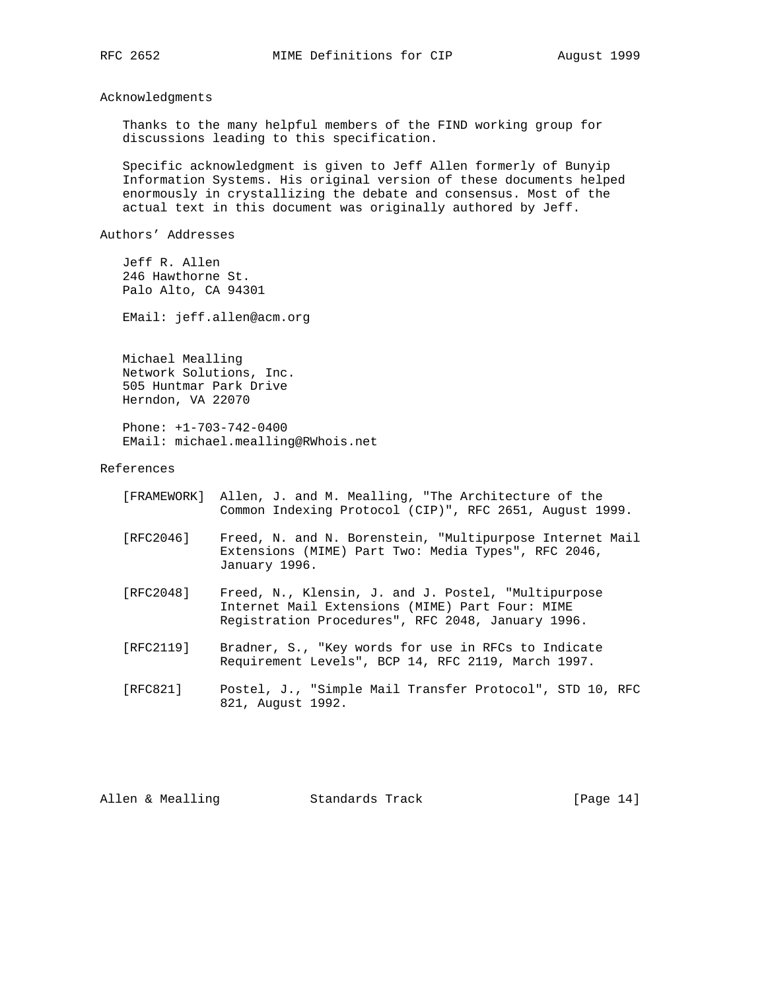Acknowledgments

 Thanks to the many helpful members of the FIND working group for discussions leading to this specification.

 Specific acknowledgment is given to Jeff Allen formerly of Bunyip Information Systems. His original version of these documents helped enormously in crystallizing the debate and consensus. Most of the actual text in this document was originally authored by Jeff.

Authors' Addresses

 Jeff R. Allen 246 Hawthorne St. Palo Alto, CA 94301

EMail: jeff.allen@acm.org

 Michael Mealling Network Solutions, Inc. 505 Huntmar Park Drive Herndon, VA 22070

 Phone: +1-703-742-0400 EMail: michael.mealling@RWhois.net

References

|           | [FRAMEWORK] Allen, J. and M. Mealling, "The Architecture of the<br>Common Indexing Protocol (CIP)", RFC 2651, August 1999.       |
|-----------|----------------------------------------------------------------------------------------------------------------------------------|
| [RFC2046] | Freed, N. and N. Borenstein, "Multipurpose Internet Mail<br>Extensions (MIME) Part Two: Media Types", RFC 2046,<br>January 1996. |

- [RFC2048] Freed, N., Klensin, J. and J. Postel, "Multipurpose Internet Mail Extensions (MIME) Part Four: MIME Registration Procedures", RFC 2048, January 1996.
- [RFC2119] Bradner, S., "Key words for use in RFCs to Indicate Requirement Levels", BCP 14, RFC 2119, March 1997.
- [RFC821] Postel, J., "Simple Mail Transfer Protocol", STD 10, RFC 821, August 1992.

Allen & Mealling Standards Track [Page 14]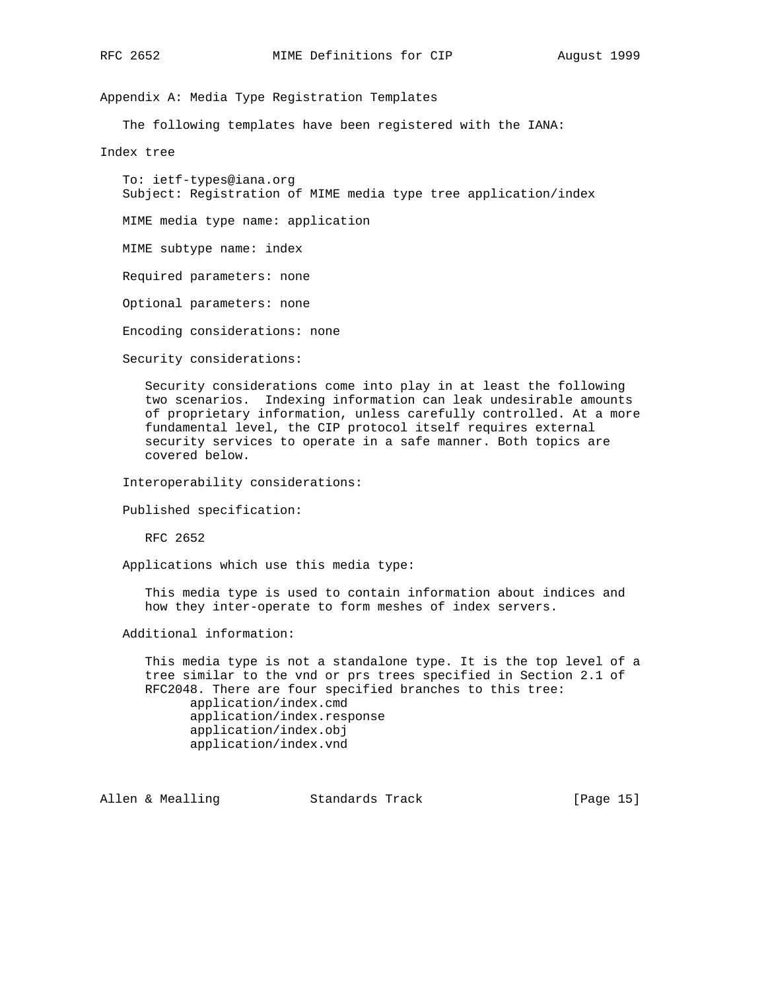Appendix A: Media Type Registration Templates

The following templates have been registered with the IANA:

Index tree

 To: ietf-types@iana.org Subject: Registration of MIME media type tree application/index

MIME media type name: application

MIME subtype name: index

Required parameters: none

Optional parameters: none

Encoding considerations: none

Security considerations:

 Security considerations come into play in at least the following two scenarios. Indexing information can leak undesirable amounts of proprietary information, unless carefully controlled. At a more fundamental level, the CIP protocol itself requires external security services to operate in a safe manner. Both topics are covered below.

Interoperability considerations:

```
 Published specification:
```
RFC 2652

Applications which use this media type:

 This media type is used to contain information about indices and how they inter-operate to form meshes of index servers.

Additional information:

 This media type is not a standalone type. It is the top level of a tree similar to the vnd or prs trees specified in Section 2.1 of RFC2048. There are four specified branches to this tree: application/index.cmd application/index.response application/index.obj application/index.vnd

Allen & Mealling Standards Track [Page 15]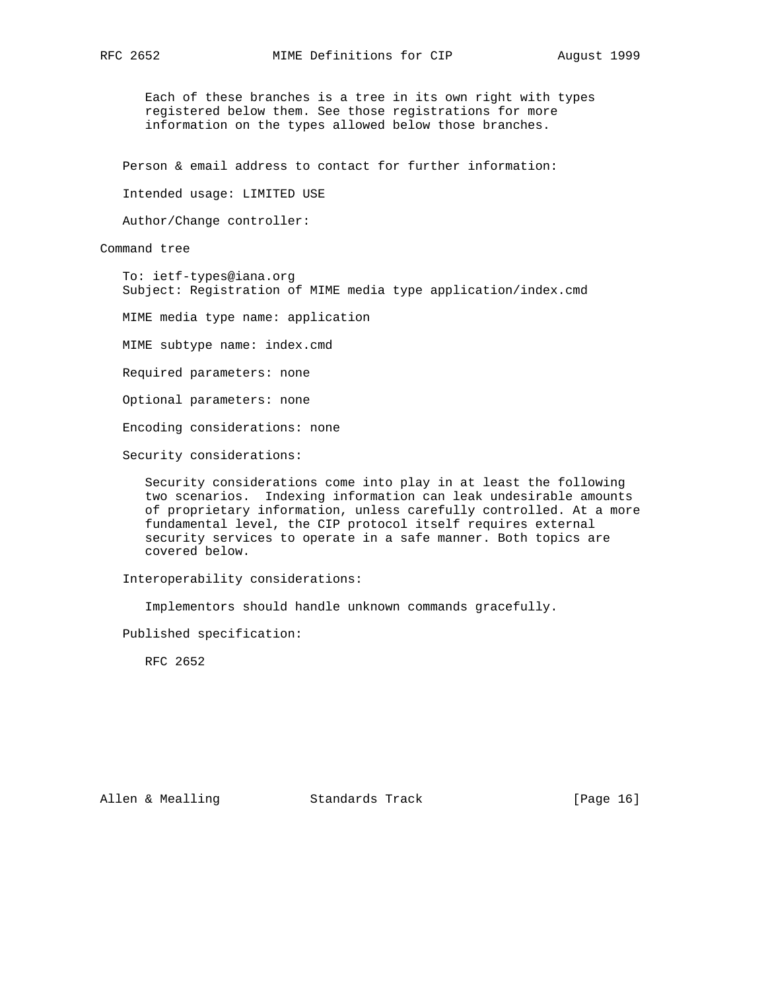Each of these branches is a tree in its own right with types registered below them. See those registrations for more information on the types allowed below those branches.

Person & email address to contact for further information:

Intended usage: LIMITED USE

Author/Change controller:

Command tree

 To: ietf-types@iana.org Subject: Registration of MIME media type application/index.cmd

MIME media type name: application

MIME subtype name: index.cmd

Required parameters: none

Optional parameters: none

Encoding considerations: none

Security considerations:

 Security considerations come into play in at least the following two scenarios. Indexing information can leak undesirable amounts of proprietary information, unless carefully controlled. At a more fundamental level, the CIP protocol itself requires external security services to operate in a safe manner. Both topics are covered below.

Interoperability considerations:

Implementors should handle unknown commands gracefully.

Published specification:

RFC 2652

Allen & Mealling Standards Track [Page 16]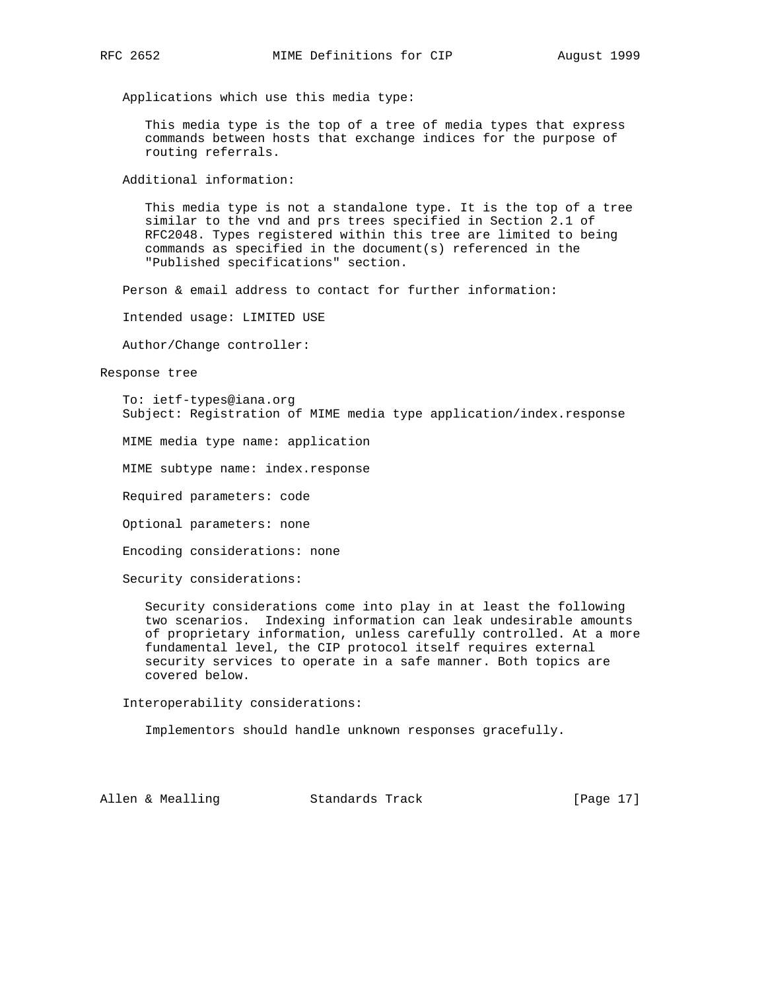Applications which use this media type:

 This media type is the top of a tree of media types that express commands between hosts that exchange indices for the purpose of routing referrals.

Additional information:

 This media type is not a standalone type. It is the top of a tree similar to the vnd and prs trees specified in Section 2.1 of RFC2048. Types registered within this tree are limited to being commands as specified in the document(s) referenced in the "Published specifications" section.

Person & email address to contact for further information:

Intended usage: LIMITED USE

Author/Change controller:

Response tree

 To: ietf-types@iana.org Subject: Registration of MIME media type application/index.response

MIME media type name: application

MIME subtype name: index.response

Required parameters: code

Optional parameters: none

Encoding considerations: none

Security considerations:

 Security considerations come into play in at least the following two scenarios. Indexing information can leak undesirable amounts of proprietary information, unless carefully controlled. At a more fundamental level, the CIP protocol itself requires external security services to operate in a safe manner. Both topics are covered below.

Interoperability considerations:

Implementors should handle unknown responses gracefully.

Allen & Mealling Standards Track [Page 17]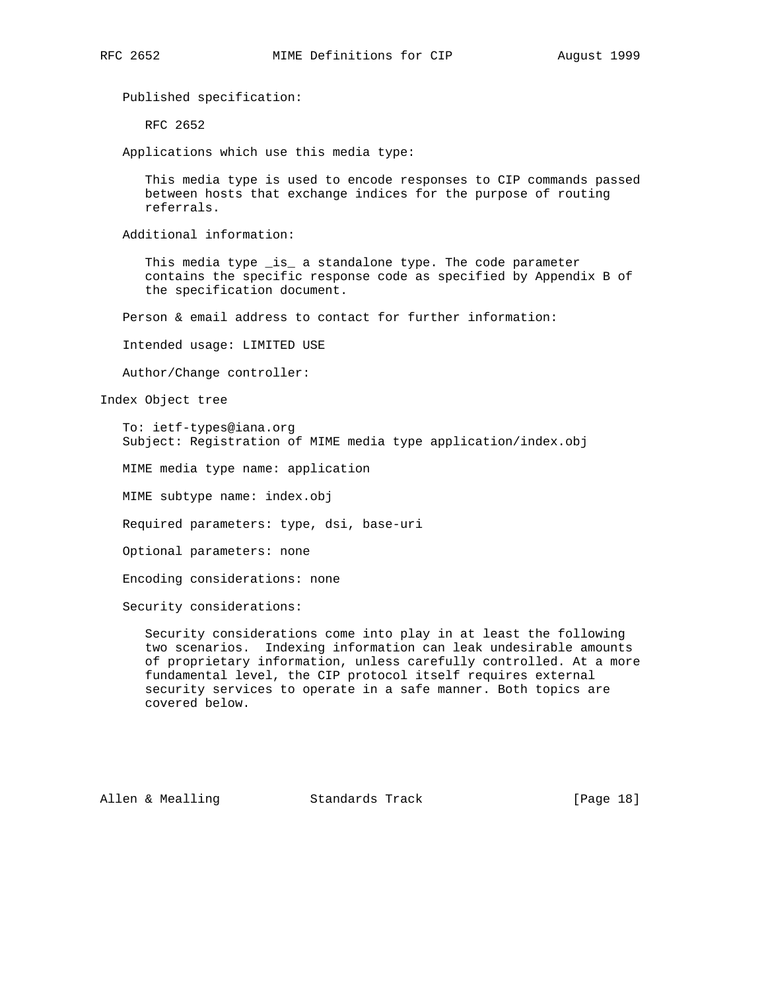Published specification:

RFC 2652

Applications which use this media type:

 This media type is used to encode responses to CIP commands passed between hosts that exchange indices for the purpose of routing referrals.

Additional information:

 This media type \_is\_ a standalone type. The code parameter contains the specific response code as specified by Appendix B of the specification document.

Person & email address to contact for further information:

Intended usage: LIMITED USE

Author/Change controller:

Index Object tree

 To: ietf-types@iana.org Subject: Registration of MIME media type application/index.obj

MIME media type name: application

MIME subtype name: index.obj

Required parameters: type, dsi, base-uri

Optional parameters: none

Encoding considerations: none

Security considerations:

 Security considerations come into play in at least the following two scenarios. Indexing information can leak undesirable amounts of proprietary information, unless carefully controlled. At a more fundamental level, the CIP protocol itself requires external security services to operate in a safe manner. Both topics are covered below.

Allen & Mealling Standards Track [Page 18]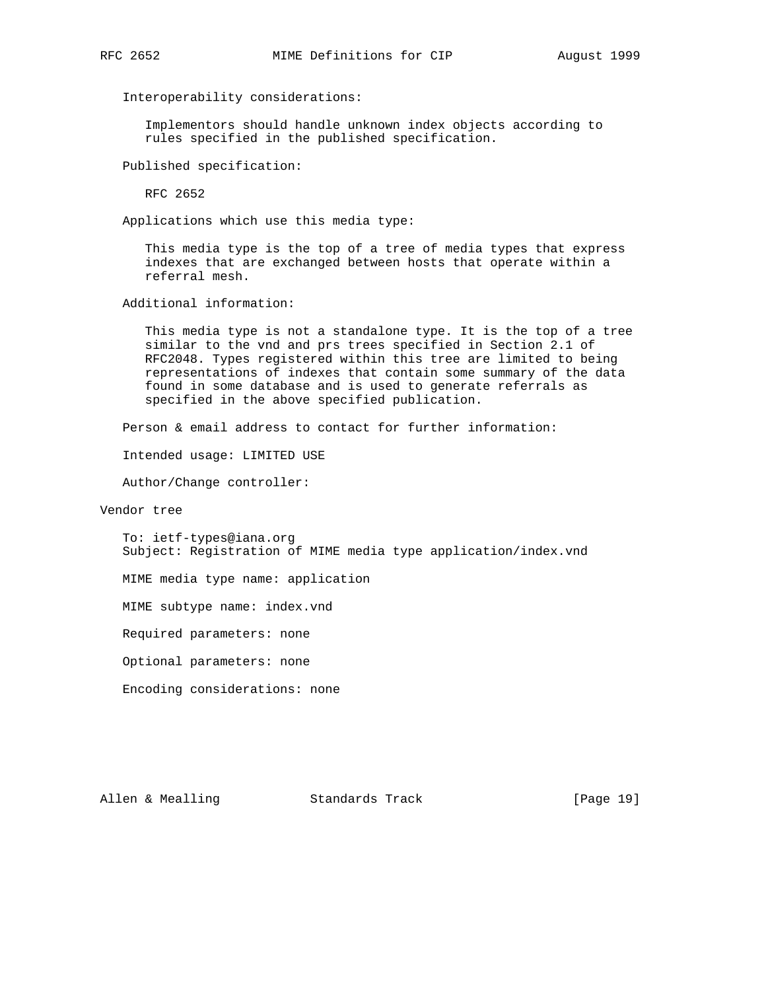Interoperability considerations:

 Implementors should handle unknown index objects according to rules specified in the published specification.

Published specification:

RFC 2652

Applications which use this media type:

 This media type is the top of a tree of media types that express indexes that are exchanged between hosts that operate within a referral mesh.

Additional information:

 This media type is not a standalone type. It is the top of a tree similar to the vnd and prs trees specified in Section 2.1 of RFC2048. Types registered within this tree are limited to being representations of indexes that contain some summary of the data found in some database and is used to generate referrals as specified in the above specified publication.

Person & email address to contact for further information:

Intended usage: LIMITED USE

Author/Change controller:

Vendor tree

 To: ietf-types@iana.org Subject: Registration of MIME media type application/index.vnd

MIME media type name: application

MIME subtype name: index.vnd

Required parameters: none

Optional parameters: none

Encoding considerations: none

Allen & Mealling Standards Track [Page 19]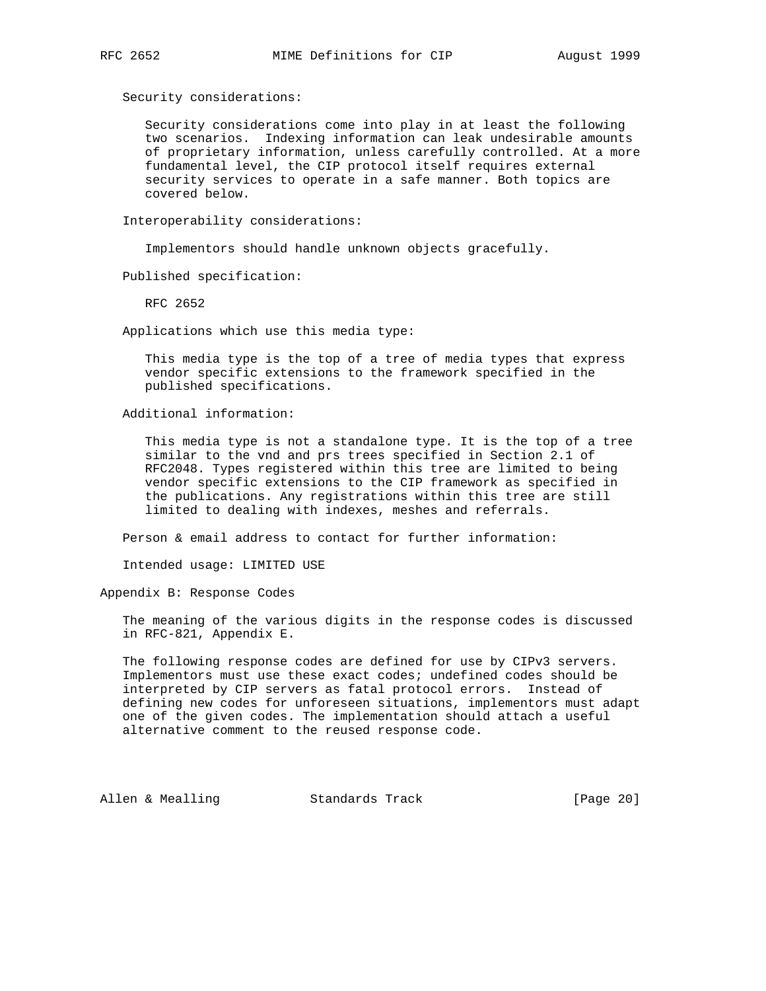Security considerations:

 Security considerations come into play in at least the following two scenarios. Indexing information can leak undesirable amounts of proprietary information, unless carefully controlled. At a more fundamental level, the CIP protocol itself requires external security services to operate in a safe manner. Both topics are covered below.

Interoperability considerations:

Implementors should handle unknown objects gracefully.

Published specification:

RFC 2652

Applications which use this media type:

 This media type is the top of a tree of media types that express vendor specific extensions to the framework specified in the published specifications.

Additional information:

 This media type is not a standalone type. It is the top of a tree similar to the vnd and prs trees specified in Section 2.1 of RFC2048. Types registered within this tree are limited to being vendor specific extensions to the CIP framework as specified in the publications. Any registrations within this tree are still limited to dealing with indexes, meshes and referrals.

Person & email address to contact for further information:

Intended usage: LIMITED USE

Appendix B: Response Codes

 The meaning of the various digits in the response codes is discussed in RFC-821, Appendix E.

 The following response codes are defined for use by CIPv3 servers. Implementors must use these exact codes; undefined codes should be interpreted by CIP servers as fatal protocol errors. Instead of defining new codes for unforeseen situations, implementors must adapt one of the given codes. The implementation should attach a useful alternative comment to the reused response code.

Allen & Mealling Standards Track [Page 20]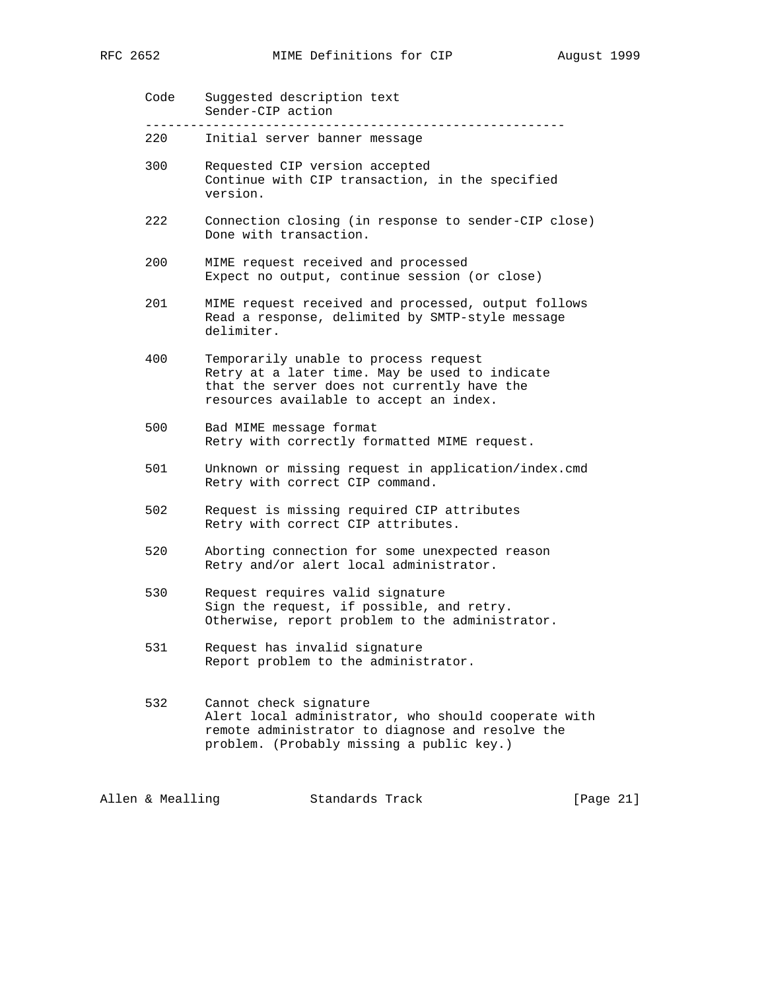| RFC 2652 | MIME Definitions for CIP |  | August 1999 |  |
|----------|--------------------------|--|-------------|--|
|          |                          |  |             |  |

| Code | Suggested description text<br>Sender-CIP action                                                                                                                                   |
|------|-----------------------------------------------------------------------------------------------------------------------------------------------------------------------------------|
| 220  | Initial server banner message                                                                                                                                                     |
| 300  | Requested CIP version accepted<br>Continue with CIP transaction, in the specified<br>version.                                                                                     |
| 222  | Connection closing (in response to sender-CIP close)<br>Done with transaction.                                                                                                    |
| 200  | MIME request received and processed<br>Expect no output, continue session (or close)                                                                                              |
| 201  | MIME request received and processed, output follows<br>Read a response, delimited by SMTP-style message<br>delimiter.                                                             |
| 400  | Temporarily unable to process request<br>Retry at a later time. May be used to indicate<br>that the server does not currently have the<br>resources available to accept an index. |
| 500  | Bad MIME message format<br>Retry with correctly formatted MIME request.                                                                                                           |
| 501  | Unknown or missing request in application/index.cmd<br>Retry with correct CIP command.                                                                                            |
| 502  | Request is missing required CIP attributes<br>Retry with correct CIP attributes.                                                                                                  |
| 520  | Aborting connection for some unexpected reason<br>Retry and/or alert local administrator.                                                                                         |
| 530  | Request requires valid signature<br>Sign the request, if possible, and retry.<br>Otherwise, report problem to the administrator.                                                  |
| 531  | Request has invalid signature<br>Report problem to the administrator.                                                                                                             |
| 532  | Cannot check signature<br>Alert local administrator, who should cooperate with<br>remote administrator to diagnose and resolve the<br>problem. (Probably missing a public key.)   |

Allen & Mealling Standards Track [Page 21]